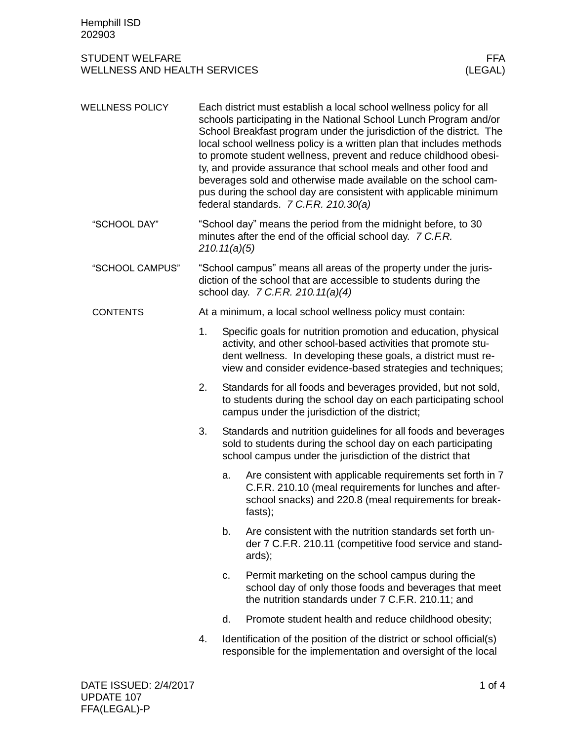## STUDENT WELFARE FFA<br>
WELLNESS AND HEALTH SERVICES (LEGAL) WELLNESS AND HEALTH SERVICES

| <b>WELLNESS POLICY</b> |                                                                                                                                             | Each district must establish a local school wellness policy for all<br>schools participating in the National School Lunch Program and/or<br>School Breakfast program under the jurisdiction of the district. The<br>local school wellness policy is a written plan that includes methods<br>to promote student wellness, prevent and reduce childhood obesi-<br>ty, and provide assurance that school meals and other food and<br>beverages sold and otherwise made available on the school cam-<br>pus during the school day are consistent with applicable minimum<br>federal standards. 7 C.F.R. 210.30(a) |                                                                                                                                                                                                                                                                 |  |  |  |
|------------------------|---------------------------------------------------------------------------------------------------------------------------------------------|---------------------------------------------------------------------------------------------------------------------------------------------------------------------------------------------------------------------------------------------------------------------------------------------------------------------------------------------------------------------------------------------------------------------------------------------------------------------------------------------------------------------------------------------------------------------------------------------------------------|-----------------------------------------------------------------------------------------------------------------------------------------------------------------------------------------------------------------------------------------------------------------|--|--|--|
| "SCHOOL DAY"           | "School day" means the period from the midnight before, to 30<br>minutes after the end of the official school day. 7 C.F.R.<br>210.11(a)(5) |                                                                                                                                                                                                                                                                                                                                                                                                                                                                                                                                                                                                               |                                                                                                                                                                                                                                                                 |  |  |  |
| "SCHOOL CAMPUS"        |                                                                                                                                             | "School campus" means all areas of the property under the juris-<br>diction of the school that are accessible to students during the<br>school day. 7 C.F.R. 210.11(a)(4)                                                                                                                                                                                                                                                                                                                                                                                                                                     |                                                                                                                                                                                                                                                                 |  |  |  |
| <b>CONTENTS</b>        | At a minimum, a local school wellness policy must contain:                                                                                  |                                                                                                                                                                                                                                                                                                                                                                                                                                                                                                                                                                                                               |                                                                                                                                                                                                                                                                 |  |  |  |
|                        | 1.                                                                                                                                          |                                                                                                                                                                                                                                                                                                                                                                                                                                                                                                                                                                                                               | Specific goals for nutrition promotion and education, physical<br>activity, and other school-based activities that promote stu-<br>dent wellness. In developing these goals, a district must re-<br>view and consider evidence-based strategies and techniques; |  |  |  |
|                        | 2.                                                                                                                                          | Standards for all foods and beverages provided, but not sold,<br>to students during the school day on each participating school<br>campus under the jurisdiction of the district;                                                                                                                                                                                                                                                                                                                                                                                                                             |                                                                                                                                                                                                                                                                 |  |  |  |
|                        | 3.                                                                                                                                          |                                                                                                                                                                                                                                                                                                                                                                                                                                                                                                                                                                                                               | Standards and nutrition guidelines for all foods and beverages<br>sold to students during the school day on each participating<br>school campus under the jurisdiction of the district that                                                                     |  |  |  |
|                        |                                                                                                                                             | a.                                                                                                                                                                                                                                                                                                                                                                                                                                                                                                                                                                                                            | Are consistent with applicable requirements set forth in 7<br>C.F.R. 210.10 (meal requirements for lunches and after-<br>school snacks) and 220.8 (meal requirements for break-<br>fasts);                                                                      |  |  |  |
|                        |                                                                                                                                             | b.                                                                                                                                                                                                                                                                                                                                                                                                                                                                                                                                                                                                            | Are consistent with the nutrition standards set forth un-<br>der 7 C.F.R. 210.11 (competitive food service and stand-<br>ards);                                                                                                                                 |  |  |  |
|                        |                                                                                                                                             | C.                                                                                                                                                                                                                                                                                                                                                                                                                                                                                                                                                                                                            | Permit marketing on the school campus during the<br>school day of only those foods and beverages that meet<br>the nutrition standards under 7 C.F.R. 210.11; and                                                                                                |  |  |  |
|                        |                                                                                                                                             | d.                                                                                                                                                                                                                                                                                                                                                                                                                                                                                                                                                                                                            | Promote student health and reduce childhood obesity;                                                                                                                                                                                                            |  |  |  |
|                        | 4.                                                                                                                                          |                                                                                                                                                                                                                                                                                                                                                                                                                                                                                                                                                                                                               | Identification of the position of the district or school official(s)<br>responsible for the implementation and oversight of the local                                                                                                                           |  |  |  |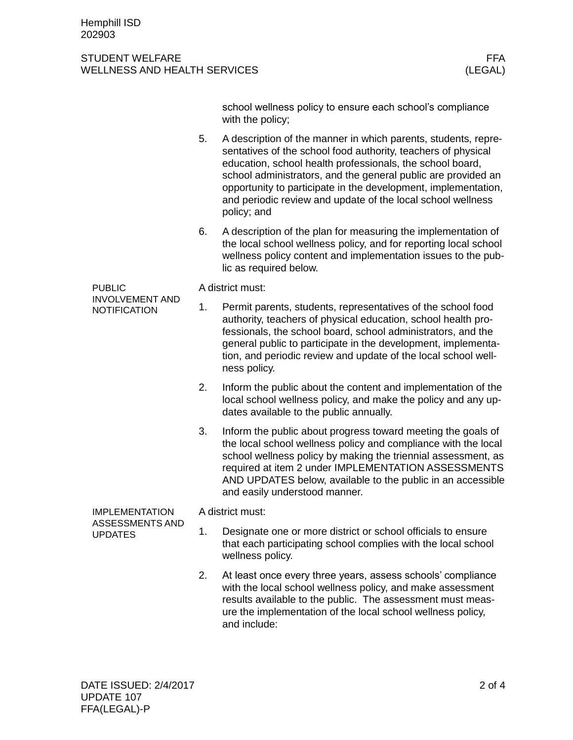## STUDENT WELFARE FRAME AND STUDENT WELFARE FRAME. WELLNESS AND HEALTH SERVICES (LEGAL)

school wellness policy to ensure each school's compliance with the policy;

- 5. A description of the manner in which parents, students, representatives of the school food authority, teachers of physical education, school health professionals, the school board, school administrators, and the general public are provided an opportunity to participate in the development, implementation, and periodic review and update of the local school wellness policy; and
- 6. A description of the plan for measuring the implementation of the local school wellness policy, and for reporting local school wellness policy content and implementation issues to the public as required below.

PUBLIC INVOLVEMENT AND **NOTIFICATION** 

A district must:

- 1. Permit parents, students, representatives of the school food authority, teachers of physical education, school health professionals, the school board, school administrators, and the general public to participate in the development, implementation, and periodic review and update of the local school wellness policy.
- 2. Inform the public about the content and implementation of the local school wellness policy, and make the policy and any updates available to the public annually.
- 3. Inform the public about progress toward meeting the goals of the local school wellness policy and compliance with the local school wellness policy by making the triennial assessment, as required at item 2 under IMPLEMENTATION ASSESSMENTS AND UPDATES below, available to the public in an accessible and easily understood manner.

IMPLEMENTATION ASSESSMENTS AND UPDATES

A district must:

- 1. Designate one or more district or school officials to ensure that each participating school complies with the local school wellness policy.
- 2. At least once every three years, assess schools' compliance with the local school wellness policy, and make assessment results available to the public. The assessment must measure the implementation of the local school wellness policy, and include: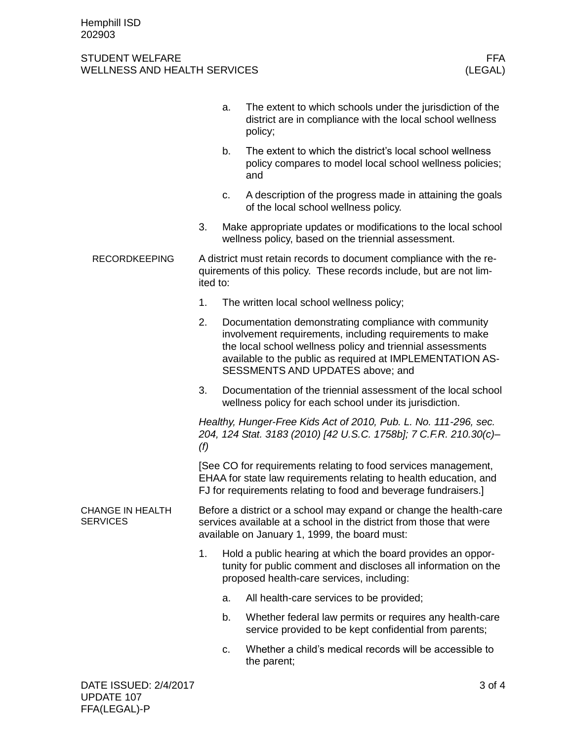## STUDENT WELFARE FFA<br>WELLNESS AND HEALTH SERVICES WELLNESS (LEGAL) WELLNESS AND HEALTH SERVICES

|                                            |                                                                                                                                                                                                        | a. | The extent to which schools under the jurisdiction of the<br>district are in compliance with the local school wellness<br>policy;                                                                                                                                                |  |  |
|--------------------------------------------|--------------------------------------------------------------------------------------------------------------------------------------------------------------------------------------------------------|----|----------------------------------------------------------------------------------------------------------------------------------------------------------------------------------------------------------------------------------------------------------------------------------|--|--|
|                                            |                                                                                                                                                                                                        | b. | The extent to which the district's local school wellness<br>policy compares to model local school wellness policies;<br>and                                                                                                                                                      |  |  |
|                                            |                                                                                                                                                                                                        | c. | A description of the progress made in attaining the goals<br>of the local school wellness policy.                                                                                                                                                                                |  |  |
|                                            | 3.                                                                                                                                                                                                     |    | Make appropriate updates or modifications to the local school<br>wellness policy, based on the triennial assessment.                                                                                                                                                             |  |  |
| <b>RECORDKEEPING</b>                       | A district must retain records to document compliance with the re-<br>quirements of this policy. These records include, but are not lim-<br>ited to:                                                   |    |                                                                                                                                                                                                                                                                                  |  |  |
|                                            | 1.                                                                                                                                                                                                     |    | The written local school wellness policy;                                                                                                                                                                                                                                        |  |  |
|                                            | 2.                                                                                                                                                                                                     |    | Documentation demonstrating compliance with community<br>involvement requirements, including requirements to make<br>the local school wellness policy and triennial assessments<br>available to the public as required at IMPLEMENTATION AS-<br>SESSMENTS AND UPDATES above; and |  |  |
|                                            | 3.                                                                                                                                                                                                     |    | Documentation of the triennial assessment of the local school<br>wellness policy for each school under its jurisdiction.                                                                                                                                                         |  |  |
|                                            | Healthy, Hunger-Free Kids Act of 2010, Pub. L. No. 111-296, sec.<br>204, 124 Stat. 3183 (2010) [42 U.S.C. 1758b]; 7 C.F.R. 210.30(c)-<br>(f)                                                           |    |                                                                                                                                                                                                                                                                                  |  |  |
|                                            | [See CO for requirements relating to food services management,<br>EHAA for state law requirements relating to health education, and<br>FJ for requirements relating to food and beverage fundraisers.] |    |                                                                                                                                                                                                                                                                                  |  |  |
| <b>CHANGE IN HEALTH</b><br><b>SERVICES</b> | Before a district or a school may expand or change the health-care<br>services available at a school in the district from those that were<br>available on January 1, 1999, the board must:             |    |                                                                                                                                                                                                                                                                                  |  |  |
|                                            | 1.                                                                                                                                                                                                     |    | Hold a public hearing at which the board provides an oppor-<br>tunity for public comment and discloses all information on the<br>proposed health-care services, including:                                                                                                       |  |  |
|                                            |                                                                                                                                                                                                        | a. | All health-care services to be provided;                                                                                                                                                                                                                                         |  |  |
|                                            |                                                                                                                                                                                                        | b. | Whether federal law permits or requires any health-care<br>service provided to be kept confidential from parents;                                                                                                                                                                |  |  |
|                                            |                                                                                                                                                                                                        | c. | Whether a child's medical records will be accessible to<br>the parent;                                                                                                                                                                                                           |  |  |
| DATE ISSUED: 2/4/2017                      |                                                                                                                                                                                                        |    | 3 of 4                                                                                                                                                                                                                                                                           |  |  |